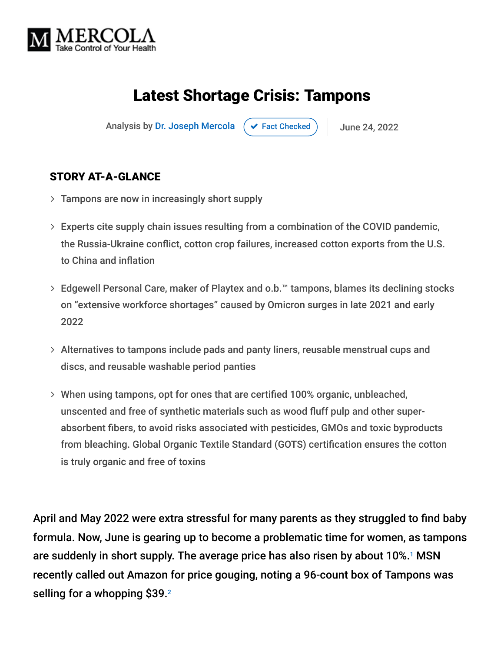

## Latest Shortage Crisis: Tampons

Analysis by [Dr. Joseph Mercola](https://www.mercola.com/forms/background.htm)  $\left( \right. \times$  [Fact Checked](javascript:void(0))  $\left. \right)$  June 24, 2022

#### STORY AT-A-GLANCE

- $>$  Tampons are now in increasingly short supply
- Experts cite supply chain issues resulting from a combination of the COVID pandemic, the Russia-Ukraine conflict, cotton crop failures, increased cotton exports from the U.S. to China and inflation
- Edgewell Personal Care, maker of Playtex and o.b.™ tampons, blames its declining stocks on "extensive workforce shortages" caused by Omicron surges in late 2021 and early 2022
- Alternatives to tampons include pads and panty liners, reusable menstrual cups and discs, and reusable washable period panties
- When using tampons, opt for ones that are certified 100% organic, unbleached, unscented and free of synthetic materials such as wood fluff pulp and other superabsorbent fibers, to avoid risks associated with pesticides, GMOs and toxic byproducts from bleaching. Global Organic Textile Standard (GOTS) certification ensures the cotton is truly organic and free of toxins

April and May 2022 were extra stressful for many parents as they struggled to find baby formula. Now, June is gearing up to become a problematic time for women, as tampons are suddenly in short supply. The average price has also risen by about 10%.<sup>1</sup> MSN recently called out Amazon for price gouging, noting a 96-count box of Tampons was selling for a whopping \$39. 2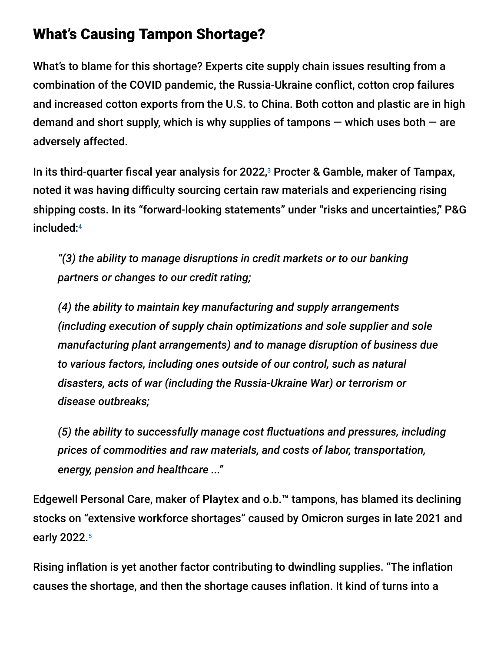### What's Causing Tampon Shortage?

What's to blame for this shortage? Experts cite supply chain issues resulting from a combination of the COVID pandemic, the Russia-Ukraine conflict, cotton crop failures and increased cotton exports from the U.S. to China. Both cotton and plastic are in high demand and short supply, which is why supplies of tampons  $-$  which uses both  $-$  are adversely affected.

In its third-quarter fiscal year analysis for 2022,<sup>3</sup> Procter & Gamble, maker of Tampax, noted it was having difficulty sourcing certain raw materials and experiencing rising shipping costs. In its "forward-looking statements" under "risks and uncertainties," P&G included: 4

*"(3) the ability to manage disruptions in credit markets or to our banking partners or changes to our credit rating;*

*(4) the ability to maintain key manufacturing and supply arrangements (including execution of supply chain optimizations and sole supplier and sole manufacturing plant arrangements) and to manage disruption of business due to various factors, including ones outside of our control, such as natural disasters, acts of war (including the Russia-Ukraine War) or terrorism or disease outbreaks;*

*(5) the ability to successfully manage cost fluctuations and pressures, including prices of commodities and raw materials, and costs of labor, transportation, energy, pension and healthcare ..."*

Edgewell Personal Care, maker of Playtex and o.b.™ tampons, has blamed its declining stocks on "extensive workforce shortages" caused by Omicron surges in late 2021 and early 2022. 5

Rising inflation is yet another factor contributing to dwindling supplies. "The inflation causes the shortage, and then the shortage causes inflation. It kind of turns into a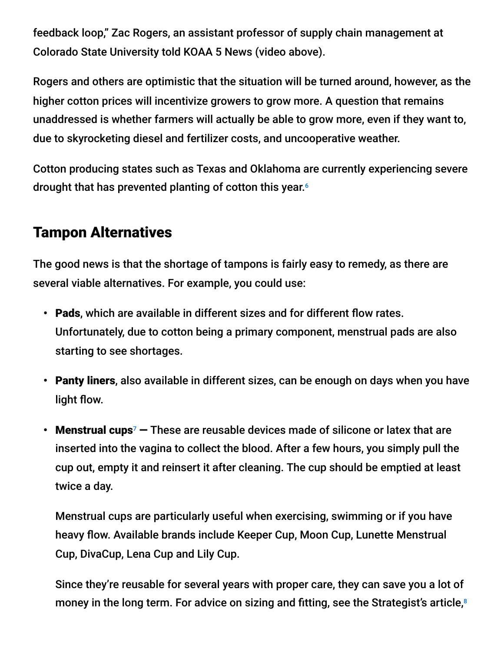feedback loop," Zac Rogers, an assistant professor of supply chain management at Colorado State University told KOAA 5 News (video above).

Rogers and others are optimistic that the situation will be turned around, however, as the higher cotton prices will incentivize growers to grow more. A question that remains unaddressed is whether farmers will actually be able to grow more, even if they want to, due to skyrocketing diesel and fertilizer costs, and uncooperative weather.

Cotton producing states such as Texas and Oklahoma are currently experiencing severe drought that has prevented planting of cotton this year. 6

### Tampon Alternatives

The good news is that the shortage of tampons is fairly easy to remedy, as there are several viable alternatives. For example, you could use:

- Pads, which are available in different sizes and for different flow rates. Unfortunately, due to cotton being a primary component, menstrual pads are also starting to see shortages.
- Panty liners, also available in different sizes, can be enough on days when you have light flow.
- Menstrual cups<sup>7</sup>  $-$  These are reusable devices made of silicone or latex that are inserted into the vagina to collect the blood. After a few hours, you simply pull the cup out, empty it and reinsert it after cleaning. The cup should be emptied at least twice a day.

Menstrual cups are particularly useful when exercising, swimming or if you have heavy flow. Available brands include Keeper Cup, Moon Cup, Lunette Menstrual Cup, DivaCup, Lena Cup and Lily Cup.

Since they're reusable for several years with proper care, they can save you a lot of money in the long term. For advice on sizing and fitting, see the Strategist's article, 8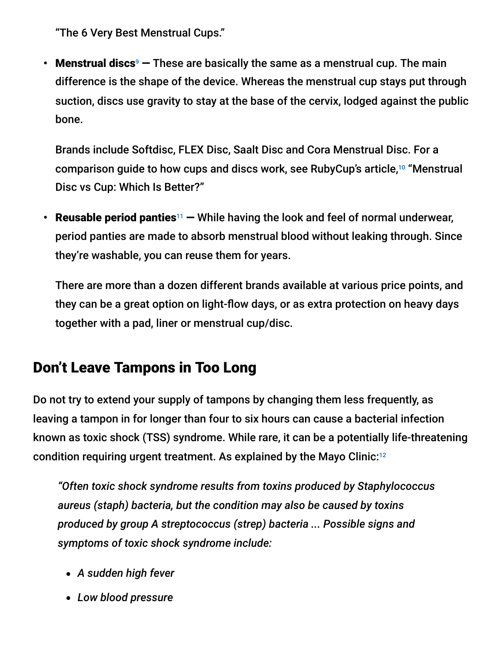"The 6 Very Best Menstrual Cups."

• Menstrual discs<sup>9</sup>  $-$  These are basically the same as a menstrual cup. The main difference is the shape of the device. Whereas the menstrual cup stays put through suction, discs use gravity to stay at the base of the cervix, lodged against the public bone.

Brands include Softdisc, FLEX Disc, Saalt Disc and Cora Menstrual Disc. For a comparison guide to how cups and discs work, see RubyCup's article,<sup>10</sup> "Menstrual Disc vs Cup: Which Is Better?"

• Reusable period panties<sup>11</sup>  $-$  While having the look and feel of normal underwear, period panties are made to absorb menstrual blood without leaking through. Since they're washable, you can reuse them for years.

There are more than a dozen different brands available at various price points, and they can be a great option on light-flow days, or as extra protection on heavy days together with a pad, liner or menstrual cup/disc.

### Don't Leave Tampons in Too Long

Do not try to extend your supply of tampons by changing them less frequently, as leaving a tampon in for longer than four to six hours can cause a bacterial infection known as toxic shock (TSS) syndrome. While rare, it can be a potentially life-threatening condition requiring urgent treatment. As explained by the Mayo Clinic: 12

*"Often toxic shock syndrome results from toxins produced by Staphylococcus aureus (staph) bacteria, but the condition may also be caused by toxins produced by group A streptococcus (strep) bacteria ... Possible signs and symptoms of toxic shock syndrome include:*

- *A sudden high fever*
- *Low blood pressure*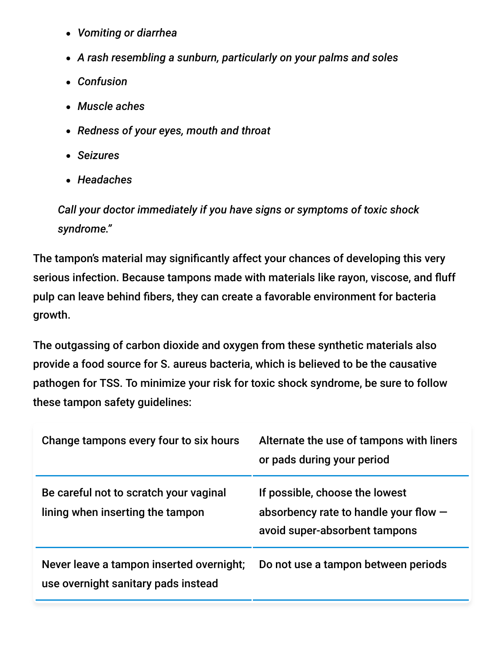- *Vomiting or diarrhea*
- *A rash resembling a sunburn, particularly on your palms and soles*
- *Confusion*
- *Muscle aches*
- *Redness of your eyes, mouth and throat*
- *Seizures*
- *Headaches*

*Call your doctor immediately if you have signs or symptoms of toxic shock syndrome."*

The tampon's material may significantly affect your chances of developing this very serious infection. Because tampons made with materials like rayon, viscose, and fluff pulp can leave behind fibers, they can create a favorable environment for bacteria growth.

The outgassing of carbon dioxide and oxygen from these synthetic materials also provide a food source for S. aureus bacteria, which is believed to be the causative pathogen for TSS. To minimize your risk for toxic shock syndrome, be sure to follow these tampon safety guidelines:

| Change tampons every four to six hours                                          | Alternate the use of tampons with liners<br>or pads during your period                                     |
|---------------------------------------------------------------------------------|------------------------------------------------------------------------------------------------------------|
| Be careful not to scratch your vaginal<br>lining when inserting the tampon      | If possible, choose the lowest<br>absorbency rate to handle your flow $-$<br>avoid super-absorbent tampons |
| Never leave a tampon inserted overnight;<br>use overnight sanitary pads instead | Do not use a tampon between periods                                                                        |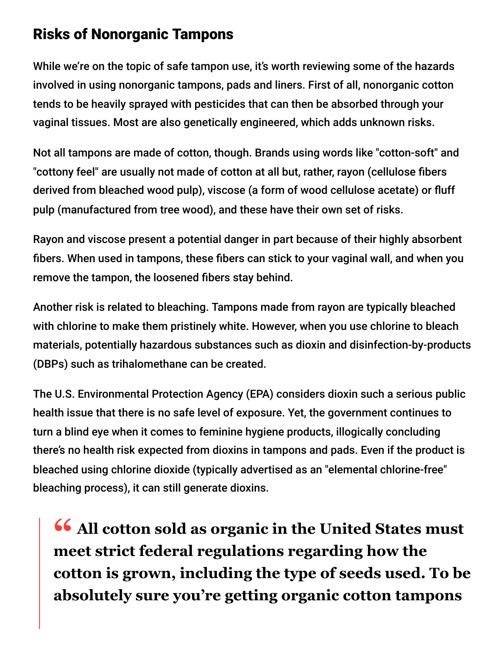### Risks of Nonorganic Tampons

While we're on the topic of safe tampon use, it's worth reviewing some of the hazards involved in using nonorganic tampons, pads and liners. First of all, nonorganic cotton tends to be heavily sprayed with pesticides that can then be absorbed through your vaginal tissues. Most are also genetically engineered, which adds unknown risks.

Not all tampons are made of cotton, though. Brands using words like "cotton-soft" and "cottony feel" are usually not made of cotton at all but, rather, rayon (cellulose fibers derived from bleached wood pulp), viscose (a form of wood cellulose acetate) or fluff pulp (manufactured from tree wood), and these have their own set of risks.

Rayon and viscose present a potential danger in part because of their highly absorbent fibers. When used in tampons, these fibers can stick to your vaginal wall, and when you remove the tampon, the loosened fibers stay behind.

Another risk is related to bleaching. Tampons made from rayon are typically bleached with chlorine to make them pristinely white. However, when you use chlorine to bleach materials, potentially hazardous substances such as dioxin and disinfection-by-products (DBPs) such as trihalomethane can be created.

The U.S. Environmental Protection Agency (EPA) considers dioxin such a serious public health issue that there is no safe level of exposure. Yet, the government continues to turn a blind eye when it comes to feminine hygiene products, illogically concluding there's no health risk expected from dioxins in tampons and pads. Even if the product is bleached using chlorine dioxide (typically advertised as an "elemental chlorine-free" bleaching process), it can still generate dioxins.

**<sup>66</sup> All cotton sold as organic in the United States must**<br>meet strict federal regulations regarding how the **meet strict federal regulations regarding how the cotton is grown, including the type of seeds used. To be absolutely sure you're getting organic cotton tampons**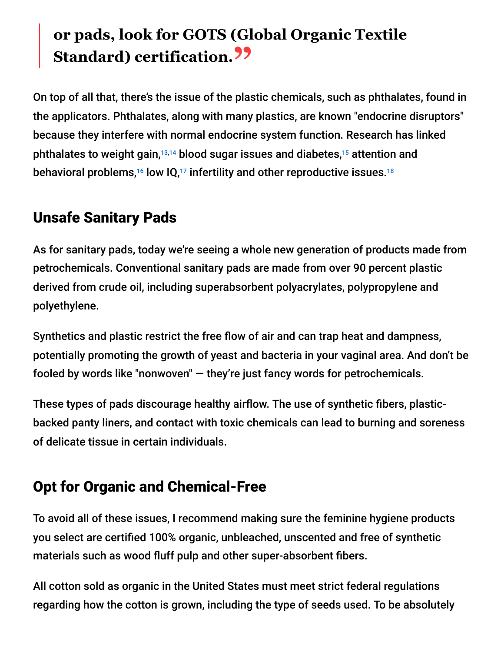# **or pads, look for GOTS (Global Organic Textile Standard) certification."**

On top of all that, there's the issue of the plastic chemicals, such as phthalates, found in the applicators. Phthalates, along with many plastics, are known "endocrine disruptors" because they interfere with normal endocrine system function. Research has linked phthalates to weight gain, $^{13,14}$  blood sugar issues and diabetes, $^{15}$  attention and behavioral problems, $^{\rm 16}$  low IQ, $^{\rm 17}$  infertility and other reproductive issues. $^{\rm 18}$ 

### Unsafe Sanitary Pads

As for sanitary pads, today we're seeing a whole new generation of products made from petrochemicals. Conventional sanitary pads are made from over 90 percent plastic derived from crude oil, including superabsorbent polyacrylates, polypropylene and polyethylene.

Synthetics and plastic restrict the free flow of air and can trap heat and dampness, potentially promoting the growth of yeast and bacteria in your vaginal area. And don't be fooled by words like "nonwoven" — they're just fancy words for petrochemicals.

These types of pads discourage healthy airflow. The use of synthetic fibers, plasticbacked panty liners, and contact with toxic chemicals can lead to burning and soreness of delicate tissue in certain individuals.

### Opt for Organic and Chemical-Free

To avoid all of these issues, I recommend making sure the feminine hygiene products you select are certified 100% organic, unbleached, unscented and free of synthetic materials such as wood fluff pulp and other super-absorbent fibers.

All cotton sold as organic in the United States must meet strict federal regulations regarding how the cotton is grown, including the type of seeds used. To be absolutely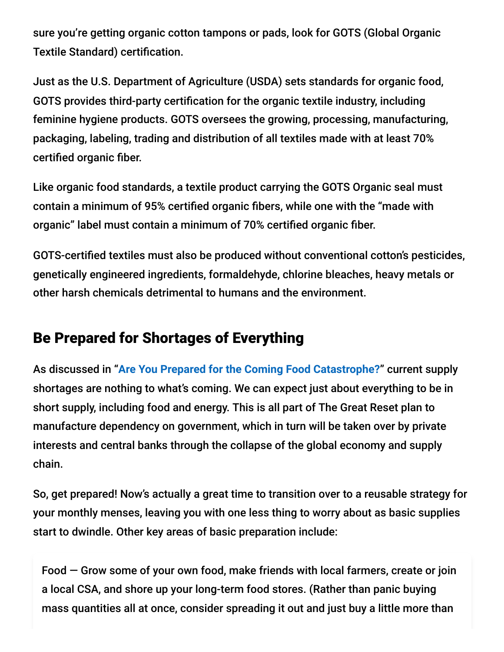sure you're getting organic cotton tampons or pads, look for GOTS (Global Organic Textile Standard) certification.

Just as the U.S. Department of Agriculture (USDA) sets standards for organic food, GOTS provides third-party certification for the organic textile industry, including feminine hygiene products. GOTS oversees the growing, processing, manufacturing, packaging, labeling, trading and distribution of all textiles made with at least 70% certified organic fiber.

Like organic food standards, a textile product carrying the GOTS Organic seal must contain a minimum of 95% certified organic fibers, while one with the "made with organic" label must contain a minimum of 70% certified organic fiber.

GOTS-certified textiles must also be produced without conventional cotton's pesticides, genetically engineered ingredients, formaldehyde, chlorine bleaches, heavy metals or other harsh chemicals detrimental to humans and the environment.

### Be Prepared for Shortages of Everything

As discussed in "**[Are You Prepared for the Coming Food Catastrophe?](https://takecontrol.substack.com/p/food-catastrophe)**" current supply shortages are nothing to what's coming. We can expect just about everything to be in short supply, including food and energy. This is all part of The Great Reset plan to manufacture dependency on government, which in turn will be taken over by private interests and central banks through the collapse of the global economy and supply chain.

So, get prepared! Now's actually a great time to transition over to a reusable strategy for your monthly menses, leaving you with one less thing to worry about as basic supplies start to dwindle. Other key areas of basic preparation include:

Food — Grow some of your own food, make friends with local farmers, create or join a local CSA, and shore up your long-term food stores. (Rather than panic buying mass quantities all at once, consider spreading it out and just buy a little more than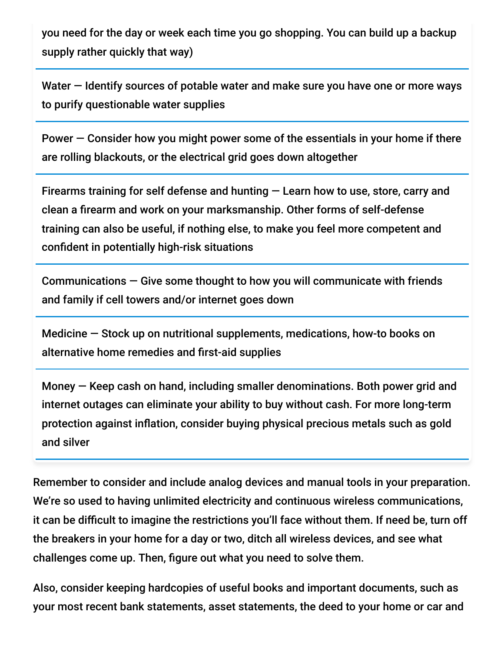you need for the day or week each time you go shopping. You can build up a backup supply rather quickly that way)

Water – Identify sources of potable water and make sure you have one or more ways to purify questionable water supplies

Power — Consider how you might power some of the essentials in your home if there are rolling blackouts, or the electrical grid goes down altogether

Firearms training for self defense and hunting — Learn how to use, store, carry and clean a firearm and work on your marksmanship. Other forms of self-defense training can also be useful, if nothing else, to make you feel more competent and confident in potentially high-risk situations

Communications — Give some thought to how you will communicate with friends and family if cell towers and/or internet goes down

Medicine — Stock up on nutritional supplements, medications, how-to books on alternative home remedies and first-aid supplies

Money — Keep cash on hand, including smaller denominations. Both power grid and internet outages can eliminate your ability to buy without cash. For more long-term protection against inflation, consider buying physical precious metals such as gold and silver

Remember to consider and include analog devices and manual tools in your preparation. We're so used to having unlimited electricity and continuous wireless communications, it can be difficult to imagine the restrictions you'll face without them. If need be, turn off the breakers in your home for a day or two, ditch all wireless devices, and see what challenges come up. Then, figure out what you need to solve them.

Also, consider keeping hardcopies of useful books and important documents, such as your most recent bank statements, asset statements, the deed to your home or car and